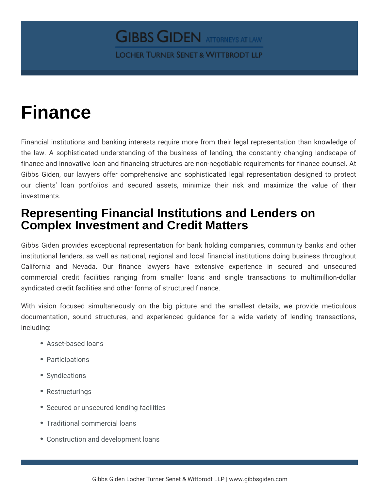## **Finance**

Financial institutions and banking interests require more from their legal representation than knowledge of the law. A sophisticated understanding of the business of lending, the constantly changing landscape of finance and innovative loan and financing structures are non-negotiable requirements for finance counsel. At Gibbs Giden, our lawyers offer comprehensive and sophisticated legal representation designed to protect our clients' loan portfolios and secured assets, minimize their risk and maximize the value of their investments.

## **Representing Financial Institutions and Lenders on Complex Investment and Credit Matters**

Gibbs Giden provides exceptional representation for bank holding companies, community banks and other institutional lenders, as well as national, regional and local financial institutions doing business throughout California and Nevada. Our finance lawyers have extensive experience in secured and unsecured commercial credit facilities ranging from smaller loans and single transactions to multimillion-dollar syndicated credit facilities and other forms of structured finance.

With vision focused simultaneously on the big picture and the smallest details, we provide meticulous documentation, sound structures, and experienced guidance for a wide variety of lending transactions, including:

- Asset-based loans
- Participations
- Syndications
- Restructurings
- Secured or unsecured lending facilities
- Traditional commercial loans
- Construction and development loans